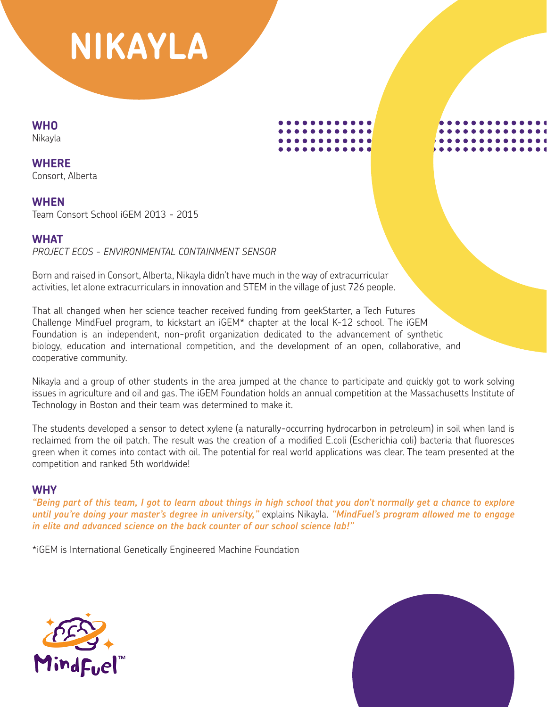# **NIKAYLA**

**WHO**

**Nikavla** 

**WHERE** Consort, Alberta

**WHEN**

Team Consort School iGEM 2013 - 2015

# **WHAT**

*PROJECT ECOS - ENVIRONMENTAL CONTAINMENT SENSOR*

Born and raised in Consort, Alberta, Nikayla didn't have much in the way of extracurricular activities, let alone extracurriculars in innovation and STEM in the village of just 726 people.

That all changed when her science teacher received funding from geekStarter, a Tech Futures Challenge MindFuel program, to kickstart an iGEM\* chapter at the local K-12 school. The iGEM Foundation is an independent, non-profit organization dedicated to the advancement of synthetic biology, education and international competition, and the development of an open, collaborative, and cooperative community.

Nikayla and a group of other students in the area jumped at the chance to participate and quickly got to work solving issues in agriculture and oil and gas. The iGEM Foundation holds an annual competition at the Massachusetts Institute of Technology in Boston and their team was determined to make it.

The students developed a sensor to detect xylene (a naturally-occurring hydrocarbon in petroleum) in soil when land is reclaimed from the oil patch. The result was the creation of a modified E.coli (Escherichia coli) bacteria that fluoresces green when it comes into contact with oil. The potential for real world applications was clear. The team presented at the competition and ranked 5th worldwide!

## **WHY**

*"Being part of this team, I got to learn about things in high school that you don't normally get a chance to explore until you're doing your master's degree in university,"* explains Nikayla. *"MindFuel's program allowed me to engage in elite and advanced science on the back counter of our school science lab!"*



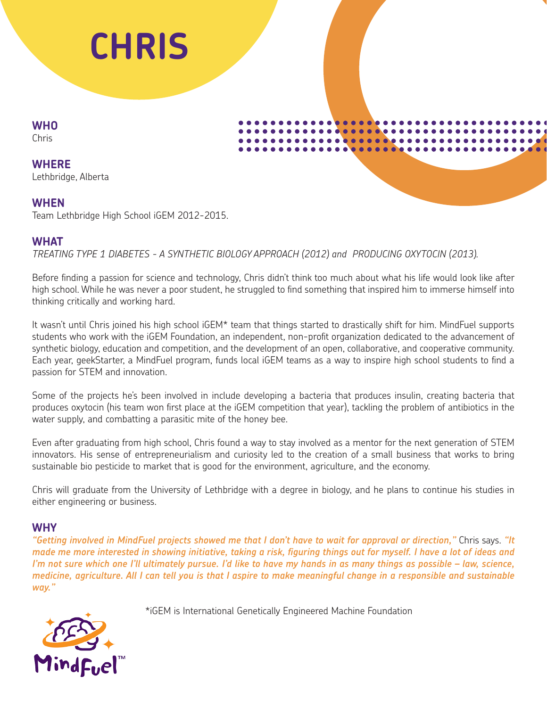

**WHO** Chris

**WHERE** Lethbridge, Alberta

#### **WHEN**

Team Lethbridge High School iGEM 2012-2015.

#### **WHAT**

*TREATING TYPE 1 DIABETES - A SYNTHETIC BIOLOGY APPROACH (2012) and PRODUCING OXYTOCIN (2013).* 

Before finding a passion for science and technology, Chris didn't think too much about what his life would look like after high school. While he was never a poor student, he struggled to find something that inspired him to immerse himself into thinking critically and working hard.

It wasn't until Chris joined his high school iGEM\* team that things started to drastically shift for him. MindFuel supports students who work with the iGEM Foundation, an independent, non-profit organization dedicated to the advancement of synthetic biology, education and competition, and the development of an open, collaborative, and cooperative community. Each year, geekStarter, a MindFuel program, funds local iGEM teams as a way to inspire high school students to find a passion for STEM and innovation.

Some of the projects he's been involved in include developing a bacteria that produces insulin, creating bacteria that produces oxytocin (his team won first place at the iGEM competition that year), tackling the problem of antibiotics in the water supply, and combatting a parasitic mite of the honey bee.

Even after graduating from high school, Chris found a way to stay involved as a mentor for the next generation of STEM innovators. His sense of entrepreneurialism and curiosity led to the creation of a small business that works to bring sustainable bio pesticide to market that is good for the environment, agriculture, and the economy.

Chris will graduate from the University of Lethbridge with a degree in biology, and he plans to continue his studies in either engineering or business.

#### **WHY**

*"Getting involved in MindFuel projects showed me that I don't have to wait for approval or direction,"* Chris says. *"It made me more interested in showing initiative, taking a risk, figuring things out for myself. I have a lot of ideas and I'm not sure which one I'll ultimately pursue. I'd like to have my hands in as many things as possible – law, science, medicine, agriculture. All I can tell you is that I aspire to make meaningful change in a responsible and sustainable way."*

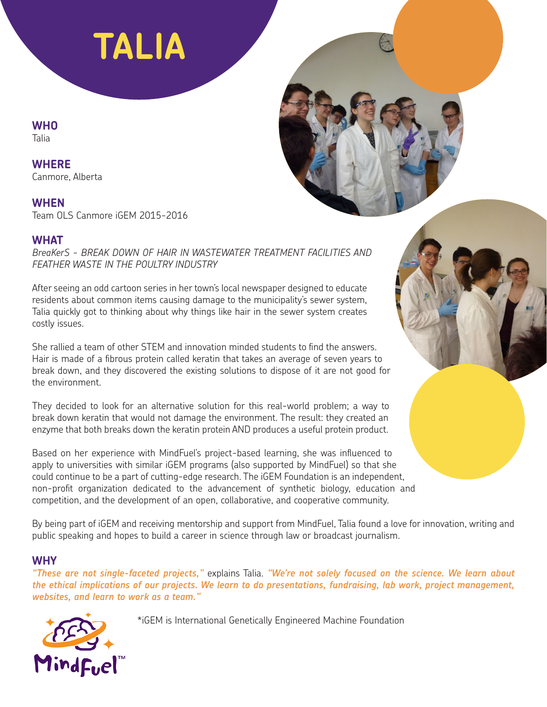# **TALIA**

# **WHO**

Talia

## **WHERE**

Canmore, Alberta

## **WHEN**

Team OLS Canmore iGEM 2015-2016

## **WHAT**

*BreaKerS - BREAK DOWN OF HAIR IN WASTEWATER TREATMENT FACILITIES AND FEATHER WASTE IN THE POULTRY INDUSTRY*

After seeing an odd cartoon series in her town's local newspaper designed to educate residents about common items causing damage to the municipality's sewer system, Talia quickly got to thinking about why things like hair in the sewer system creates costly issues.

She rallied a team of other STEM and innovation minded students to find the answers. Hair is made of a fibrous protein called keratin that takes an average of seven years to break down, and they discovered the existing solutions to dispose of it are not good for the environment.

They decided to look for an alternative solution for this real-world problem; a way to break down keratin that would not damage the environment. The result: they created an enzyme that both breaks down the keratin protein AND produces a useful protein product.

Based on her experience with MindFuel's project-based learning, she was influenced to apply to universities with similar iGEM programs (also supported by MindFuel) so that she could continue to be a part of cutting-edge research. The iGEM Foundation is an independent, non-profit organization dedicated to the advancement of synthetic biology, education and competition, and the development of an open, collaborative, and cooperative community.

By being part of iGEM and receiving mentorship and support from MindFuel, Talia found a love for innovation, writing and public speaking and hopes to build a career in science through law or broadcast journalism.

## **WHY**

*"These are not single-faceted projects,"* explains Talia. *"We're not solely focused on the science. We learn about the ethical implications of our projects. We learn to do presentations, fundraising, lab work, project management, websites, and learn to work as a team."*